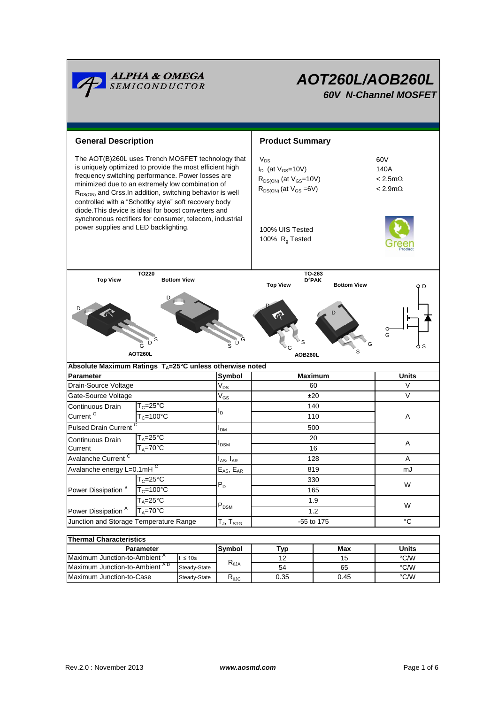

| THEITIAI UHATAUGHSUUS                     |              |                  |      |      |       |  |  |  |  |
|-------------------------------------------|--------------|------------------|------|------|-------|--|--|--|--|
| <b>Parameter</b>                          |              | Svmbol           | ™vp  | Max  | Units |  |  |  |  |
| Maximum Junction-to-Ambient <sup>"</sup>  | $\leq 10s$   |                  | 12   | 15   | °C/W  |  |  |  |  |
| Maximum Junction-to-Ambient <sup>AD</sup> | Steady-State | ৲⊕JA             | 54   | 65   | °C/W  |  |  |  |  |
| Maximum Junction-to-Case                  | Steady-State | Ւ <sub>θJC</sub> | 0.35 | 0.45 | °C/W  |  |  |  |  |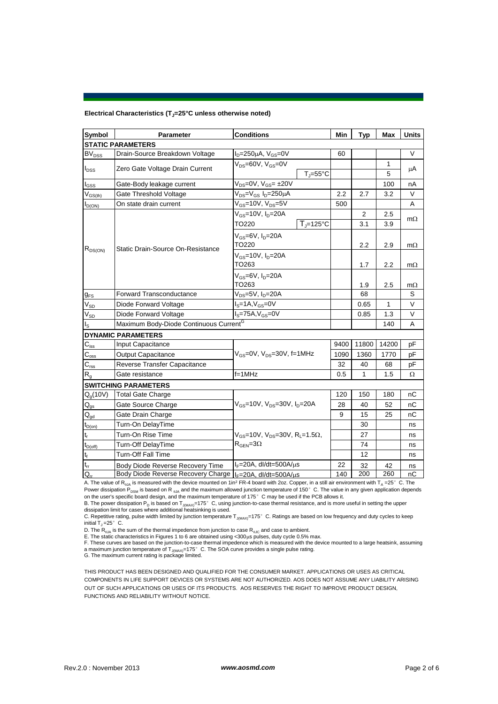#### **Electrical Characteristics (TJ=25°C unless otherwise noted)**

| Symbol                                 | Parameter                                                               | <b>Conditions</b>                                                          |      | <b>Typ</b>     | <b>Max</b> | <b>Units</b> |  |  |  |  |  |
|----------------------------------------|-------------------------------------------------------------------------|----------------------------------------------------------------------------|------|----------------|------------|--------------|--|--|--|--|--|
| <b>STATIC PARAMETERS</b>               |                                                                         |                                                                            |      |                |            |              |  |  |  |  |  |
| BV <sub>DSS</sub>                      | Drain-Source Breakdown Voltage                                          | $I_D = 250 \mu A$ , $V_{GS} = 0V$                                          | 60   |                |            | $\vee$       |  |  |  |  |  |
| $I_{DSS}$                              | Zero Gate Voltage Drain Current                                         | $V_{DS} = 60V$ , $V_{GS} = 0V$                                             |      |                | 1          | μA           |  |  |  |  |  |
|                                        |                                                                         | $T_{J} = 55^{\circ}C$                                                      |      |                | 5          |              |  |  |  |  |  |
| $I_{GS}$                               | Gate-Body leakage current                                               | $V_{DS} = 0V$ , $V_{GS} = \pm 20V$                                         |      |                | 100        | nA           |  |  |  |  |  |
| $V_{GS(th)}$                           | Gate Threshold Voltage                                                  | $V_{DS}=V_{GS} I_D=250 \mu A$                                              |      | 2.7            | 3.2        | V            |  |  |  |  |  |
| $I_{D(ON)}$                            | On state drain current                                                  | $V_{GS}$ =10V, $V_{DS}$ =5V                                                |      |                |            | A            |  |  |  |  |  |
| $R_{DS(ON)}$                           |                                                                         | $V_{GS}$ =10V, $I_D$ =20A                                                  |      | $\overline{2}$ | 2.5        | $m\Omega$    |  |  |  |  |  |
|                                        |                                                                         | $T_{\rm J}$ =125°C<br>TO220                                                |      | 3.1            | 3.9        |              |  |  |  |  |  |
|                                        |                                                                         | $V_{GS}$ =6V, $I_D$ =20A<br>TO220                                          |      | 2.2            | 2.9        | $m\Omega$    |  |  |  |  |  |
|                                        | Static Drain-Source On-Resistance                                       | $V_{GS}$ =10V, $I_D$ =20A                                                  |      |                |            |              |  |  |  |  |  |
|                                        |                                                                         | TO263                                                                      |      | 1.7            | 2.2        | $m\Omega$    |  |  |  |  |  |
|                                        |                                                                         | $V_{GS}$ =6V, $I_D$ =20A                                                   |      |                |            |              |  |  |  |  |  |
|                                        |                                                                         | TO263                                                                      |      | 1.9            | 2.5        | $m\Omega$    |  |  |  |  |  |
| $g_{FS}$                               | <b>Forward Transconductance</b>                                         | V <sub>DS</sub> =5V, I <sub>D</sub> =20A                                   |      | 68             |            | S            |  |  |  |  |  |
| $V_{SD}$                               | $IS=1A, VGS=0V$<br>Diode Forward Voltage                                |                                                                            |      | 0.65           | 1          | V            |  |  |  |  |  |
| $V_{SD}$                               | $I_S = 75A, V_{GS} = 0V$<br>Diode Forward Voltage                       |                                                                            |      | 0.85           | 1.3        | V            |  |  |  |  |  |
| $I_{\rm S}$                            | Maximum Body-Diode Continuous Current <sup>G</sup>                      |                                                                            |      |                | 140        | Α            |  |  |  |  |  |
|                                        | <b>DYNAMIC PARAMETERS</b>                                               |                                                                            |      |                |            |              |  |  |  |  |  |
| $C_{\rm iss}$                          | Input Capacitance                                                       |                                                                            | 9400 | 11800          | 14200      | pF           |  |  |  |  |  |
| $\mathbf{C}_{\text{oss}}$              | <b>Output Capacitance</b>                                               | $V_{\text{GS}} = 0V$ , $V_{\text{DS}} = 30V$ , f=1MHz                      | 1090 | 1360           | 1770       | pF           |  |  |  |  |  |
| $C_{\text{rss}}$                       | Reverse Transfer Capacitance                                            |                                                                            | 32   | 40             | 68         | pF           |  |  |  |  |  |
| $R_{q}$                                | Gate resistance                                                         | $f = 1$ MHz                                                                | 0.5  | 1              | 1.5        | Ω            |  |  |  |  |  |
|                                        | <b>SWITCHING PARAMETERS</b>                                             |                                                                            |      |                |            |              |  |  |  |  |  |
| Q <sub>a</sub> (10V)                   | <b>Total Gate Charge</b>                                                |                                                                            | 120  | 150            | 180        | nC           |  |  |  |  |  |
| $\mathsf{Q}_{\mathsf{gs}}$             | Gate Source Charge                                                      | $V_{gs}$ =10V, $V_{ps}$ =30V, $I_{p}$ =20A                                 | 28   | 40             | 52         | nC           |  |  |  |  |  |
| $\mathsf{Q}_{\underline{\mathsf{gd}}}$ | Gate Drain Charge                                                       |                                                                            | 9    | 15             | 25         | nС           |  |  |  |  |  |
| $t_{D(on)}$                            | Turn-On DelayTime                                                       |                                                                            |      | 30             |            | ns           |  |  |  |  |  |
| t,                                     | Turn-On Rise Time                                                       | $V_{\text{GS}}$ =10V, $V_{\text{DS}}$ =30V, R <sub>1</sub> =1.5 $\Omega$ , |      | 27             |            | ns           |  |  |  |  |  |
| $t_{D(off)}$                           | <b>Turn-Off DelayTime</b>                                               | $R_{\text{GEN}} = 3\Omega$                                                 |      | 74             |            | ns           |  |  |  |  |  |
| $\mathsf{t}_{\mathsf{f}}$              | <b>Turn-Off Fall Time</b>                                               |                                                                            |      | 12             |            | ns           |  |  |  |  |  |
| $t_{rr}$                               | Body Diode Reverse Recovery Time                                        | $I_F = 20A$ , dl/dt=500A/ $\mu$ s                                          |      | 32             | 42         | ns           |  |  |  |  |  |
| $Q_{rr}$                               | Body Diode Reverse Recovery Charge   I <sub>F</sub> =20A, dl/dt=500A/µs |                                                                            | 140  | 200            | 260        | nC           |  |  |  |  |  |

A. The value of R<sub>0JA</sub> is measured with the device mounted on 1in<sup>2</sup> FR-4 board with 2oz. Copper, in a still air environment with T<sub>A</sub> =25°C. The Power dissipation P<sub>DSM</sub> is based on R <sub>eJA</sub> and the maximum allowed junction temperature of 150°C. The value in any given application depends<br>on the user's specific board design, and the maximum temperature of 175°C may b

B. The power dissipation P<sub>D</sub> is based on T<sub>J(MAX)</sub>=175°C, using junction-to-case thermal resistance, and is more useful in setting the upper<br>dissipation limit for cases where additional heatsinking is used.

C. Repetitive rating, pulse width limited by junction temperature T<sub>J(MAX)</sub>=175°C. Ratings are based on low frequency and duty cycles to keep initial  $T_J = 25^\circ$  C.

D. The  $R_{\theta JA}$  is the sum of the thermal impedence from junction to case  $R_{\theta JC}$  and case to ambient.

E. The static characteristics in Figures 1 to 6 are obtained using <300µs pulses, duty cycle 0.5% max.<br>F. These curves are based on the junction-to-case thermal impedence which is measured with the device mounted to a larg

THIS PRODUCT HAS BEEN DESIGNED AND QUALIFIED FOR THE CONSUMER MARKET. APPLICATIONS OR USES AS CRITICAL COMPONENTS IN LIFE SUPPORT DEVICES OR SYSTEMS ARE NOT AUTHORIZED. AOS DOES NOT ASSUME ANY LIABILITY ARISING OUT OF SUCH APPLICATIONS OR USES OF ITS PRODUCTS. AOS RESERVES THE RIGHT TO IMPROVE PRODUCT DESIGN, FUNCTIONS AND RELIABILITY WITHOUT NOTICE.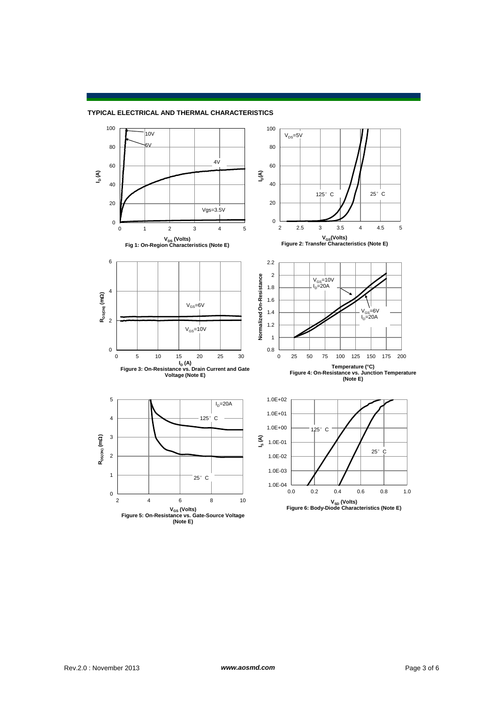

### **TYPICAL ELECTRICAL AND THERMAL CHARACTERISTICS**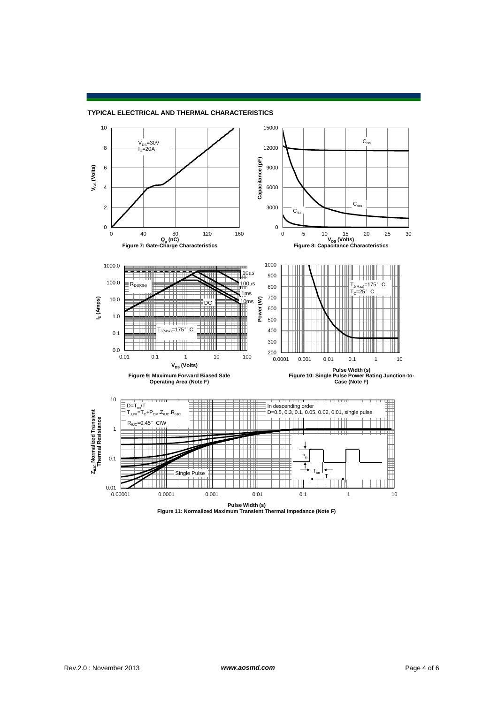

#### **TYPICAL ELECTRICAL AND THERMAL CHARACTERISTICS**

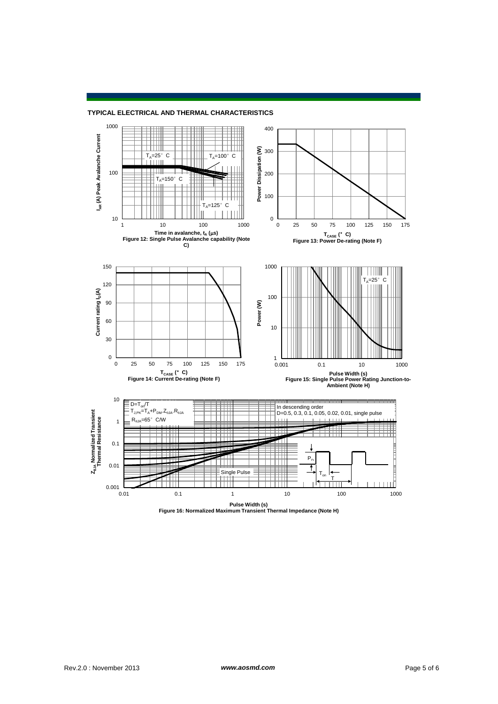#### **TYPICAL ELECTRICAL AND THERMAL CHARACTERISTICS**



**Pulse Width (s) Figure 16: Normalized Maximum Transient Thermal Impedance (Note H)**